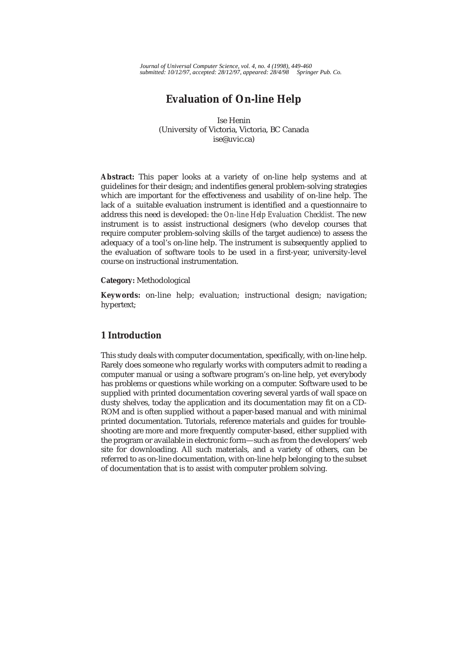*Journal of Universal Computer Science, vol. 4, no. 4 (1998), 449-460 submitted: 10/12/97, accepted: 28/12/97, appeared: 28/4/98 Springer Pub. Co.*

# **Evaluation of On-line Help**

Ise Henin (University of Victoria, Victoria, BC Canada ise@uvic.ca)

**Abstract:** This paper looks at a variety of on-line help systems and at guidelines for their design; and indentifies general problem-solving strategies which are important for the effectiveness and usability of on-line help. The lack of a suitable evaluation instrument is identified and a questionnaire to address this need is developed: the *On-line Help Evaluation Checklist.* The new instrument is to assist instructional designers (who develop courses that require computer problem-solving skills of the target audience) to assess the adequacy of a tool's on-line help. The instrument is subsequently applied to the evaluation of software tools to be used in a first-year, university-level course on instructional instrumentation.

#### **Category:** Methodological

**Keywords:** on-line help; evaluation; instructional design; navigation; hypertext;

# **1 Introduction**

This study deals with computer documentation, specifically, with on-line help. Rarely does someone who regularly works with computers admit to reading a computer manual or using a software program's on-line help, yet everybody has problems or questions while working on a computer. Software used to be supplied with printed documentation covering several yards of wall space on dusty shelves, today the application and its documentation may fit on a CD-ROM and is often supplied without a paper-based manual and with minimal printed documentation. Tutorials, reference materials and guides for troubleshooting are more and more frequently computer-based, either supplied with the program or available in electronic form—such as from the developers' web site for downloading. All such materials, and a variety of others, can be referred to as on-line documentation, with on-line help belonging to the subset of documentation that is to assist with computer problem solving.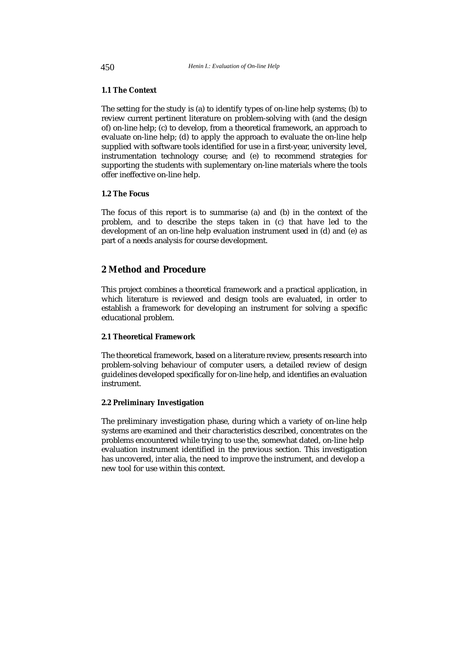# **1.1 The Context**

The setting for the study is (a) to identify types of on-line help systems; (b) to review current pertinent literature on problem-solving with (and the design of) on-line help; (c) to develop, from a theoretical framework, an approach to evaluate on-line help; (d) to apply the approach to evaluate the on-line help supplied with software tools identified for use in a first-year, university level, instrumentation technology course; and (e) to recommend strategies for supporting the students with suplementary on-line materials where the tools offer ineffective on-line help.

### **1.2 The Focus**

The focus of this report is to summarise (a) and (b) in the context of the problem, and to describe the steps taken in (c) that have led to the development of an on-line help evaluation instrument used in (d) and (e) as part of a needs analysis for course development.

# **2 Method and Procedure**

This project combines a theoretical framework and a practical application, in which literature is reviewed and design tools are evaluated, in order to establish a framework for developing an instrument for solving a specific educational problem.

### **2.1 Theoretical Framework**

The theoretical framework, based on a literature review, presents research into problem-solving behaviour of computer users, a detailed review of design guidelines developed specifically for on-line help, and identifies an evaluation instrument.

### **2.2 Preliminary Investigation**

The preliminary investigation phase, during which a variety of on-line help systems are examined and their characteristics described, concentrates on the problems encountered while trying to use the, somewhat dated, on-line help evaluation instrument identified in the previous section. This investigation has uncovered, inter alia, the need to improve the instrument, and develop a new tool for use within this context.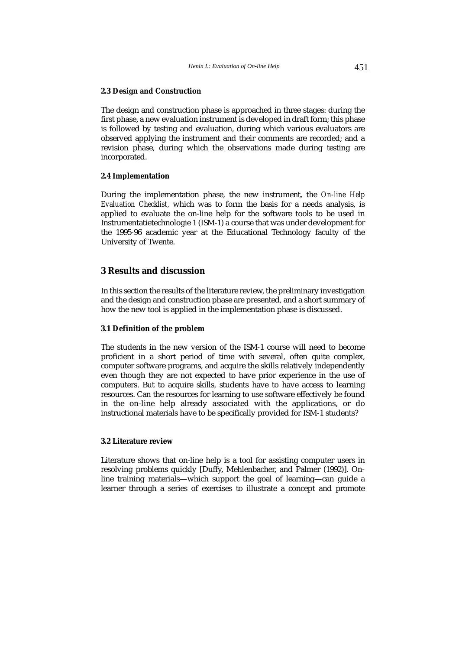#### **2.3 Design and Construction**

The design and construction phase is approached in three stages: during the first phase, a new evaluation instrument is developed in draft form; this phase is followed by testing and evaluation, during which various evaluators are observed applying the instrument and their comments are recorded; and a revision phase, during which the observations made during testing are incorporated.

## **2.4 Implementation**

During the implementation phase, the new instrument, the *On-line Help Evaluation Checklist,* which was to form the basis for a needs analysis, is applied to evaluate the on-line help for the software tools to be used in Instrumentatietechnologie 1 (ISM-1) a course that was under development for the 1995-96 academic year at the Educational Technology faculty of the University of Twente.

# **3 Results and discussion**

In this section the results of the literature review, the preliminary investigation and the design and construction phase are presented, and a short summary of how the new tool is applied in the implementation phase is discussed.

#### **3.1 Definition of the problem**

The students in the new version of the ISM-1 course will need to become proficient in a short period of time with several, often quite complex, computer software programs, and acquire the skills relatively independently even though they are not expected to have prior experience in the use of computers. But to acquire skills, students have to have access to learning resources. Can the resources for learning to use software effectively be found in the on-line help already associated with the applications, or do instructional materials have to be specifically provided for ISM-1 students?

#### **3.2 Literature review**

Literature shows that on-line help is a tool for assisting computer users in resolving problems quickly [Duffy, Mehlenbacher, and Palmer (1992)]. Online training materials—which support the goal of learning—can guide a learner through a series of exercises to illustrate a concept and promote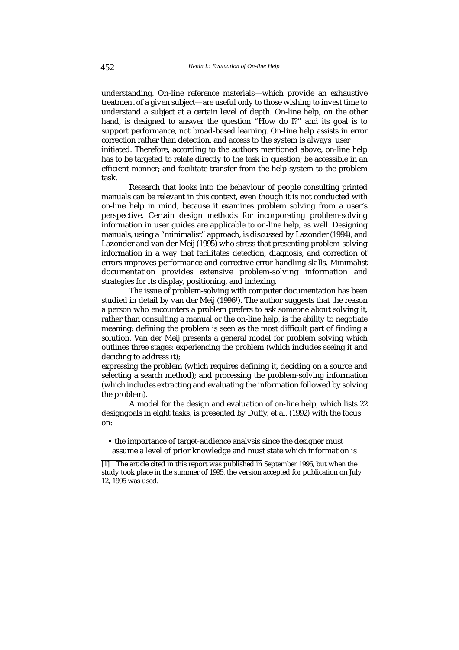understanding. On-line reference materials—which provide an exhaustive treatment of a given subject—are useful only to those wishing to invest time to understand a subject at a certain level of depth. On-line help, on the other hand, is designed to answer the question "How do I?" and its goal is to support performance, not broad-based learning. On-line help assists in error correction rather than detection, and access to the system is always user

initiated. Therefore, according to the authors mentioned above, on-line help has to be targeted to relate directly to the task in question; be accessible in an efficient manner; and facilitate transfer from the help system to the problem task.

Research that looks into the behaviour of people consulting printed manuals can be relevant in this context, even though it is not conducted with on-line help in mind, because it examines problem solving from a user's perspective. Certain design methods for incorporating problem-solving information in user guides are applicable to on-line help, as well. Designing manuals, using a "minimalist" approach, is discussed by Lazonder (1994), and Lazonder and van der Meij (1995) who stress that presenting problem-solving information in a way that facilitates detection, diagnosis, and correction of errors improves performance and corrective error-handling skills. Minimalist documentation provides extensive problem-solving information and strategies for its display, positioning, and indexing.

The issue of problem-solving with computer documentation has been studied in detail by van der Meij (19961). The author suggests that the reason a person who encounters a problem prefers to ask someone about solving it, rather than consulting a manual or the on-line help, is the ability to negotiate meaning: defining the problem is seen as the most difficult part of finding a solution. Van der Meij presents a general model for problem solving which outlines three stages: experiencing the problem (which includes seeing it and deciding to address it);

expressing the problem (which requires defining it, deciding on a source and selecting a search method); and processing the problem-solving information (which includes extracting and evaluating the information followed by solving the problem).

A model for the design and evaluation of on-line help, which lists 22 designgoals in eight tasks, is presented by Duffy, et al. (1992) with the focus on:

• the importance of target-audience analysis since the designer must assume a level of prior knowledge and must state which information is

<sup>[1]</sup> The article cited in this report was published in September 1996, but when the study took place in the summer of 1995, the version accepted for publication on July 12, 1995 was used.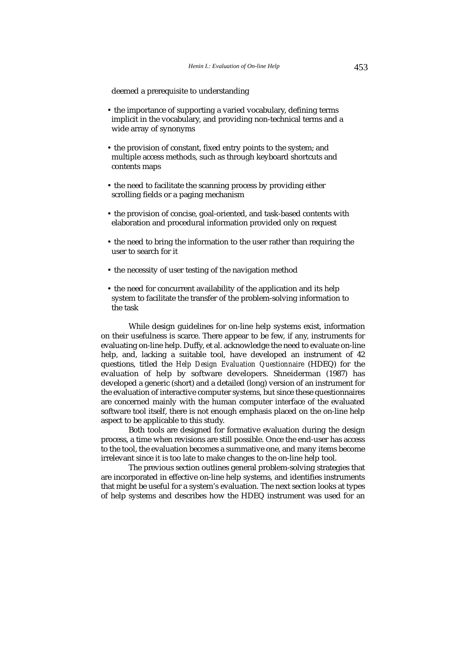deemed a prerequisite to understanding

- the importance of supporting a varied vocabulary, defining terms implicit in the vocabulary, and providing non-technical terms and a wide array of synonyms
- the provision of constant, fixed entry points to the system; and multiple access methods, such as through keyboard shortcuts and contents maps
- the need to facilitate the scanning process by providing either scrolling fields or a paging mechanism
- the provision of concise, goal-oriented, and task-based contents with elaboration and procedural information provided only on request
- the need to bring the information to the user rather than requiring the user to search for it
- the necessity of user testing of the navigation method
- the need for concurrent availability of the application and its help system to facilitate the transfer of the problem-solving information to the task

While design guidelines for on-line help systems exist, information on their usefulness is scarce. There appear to be few, if any, instruments for evaluating on-line help. Duffy, et al. acknowledge the need to evaluate on-line help, and, lacking a suitable tool, have developed an instrument of 42 questions, titled the *Help Design Evaluation Questionnaire* (HDEQ) for the evaluation of help by software developers. Shneiderman (1987) has developed a generic (short) and a detailed (long) version of an instrument for the evaluation of interactive computer systems, but since these questionnaires are concerned mainly with the human computer interface of the evaluated software tool itself, there is not enough emphasis placed on the on-line help aspect to be applicable to this study.

Both tools are designed for formative evaluation during the design process, a time when revisions are still possible. Once the end-user has access to the tool, the evaluation becomes a summative one, and many items become irrelevant since it is too late to make changes to the on-line help tool.

The previous section outlines general problem-solving strategies that are incorporated in effective on-line help systems, and identifies instruments that might be useful for a system's evaluation. The next section looks at types of help systems and describes how the HDEQ instrument was used for an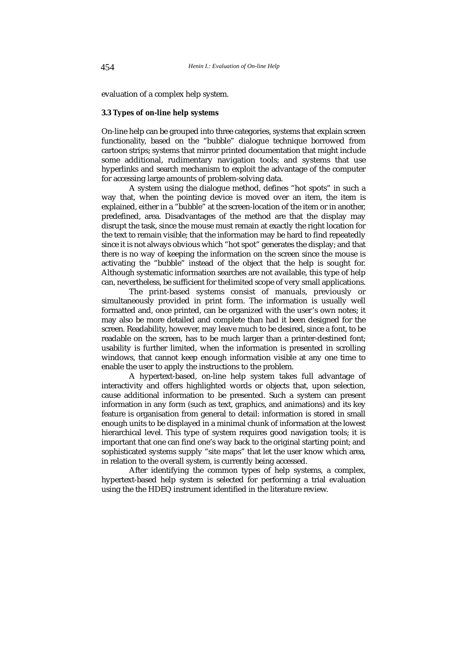evaluation of a complex help system.

#### **3.3 Types of on-line help systems**

On-line help can be grouped into three categories, systems that explain screen functionality, based on the "bubble" dialogue technique borrowed from cartoon strips; systems that mirror printed documentation that might include some additional, rudimentary navigation tools; and systems that use hyperlinks and search mechanism to exploit the advantage of the computer for accessing large amounts of problem-solving data.

A system using the dialogue method, defines "hot spots" in such a way that, when the pointing device is moved over an item, the item is explained, either in a "bubble" at the screen-location of the item or in another, predefined, area. Disadvantages of the method are that the display may disrupt the task, since the mouse must remain at exactly the right location for the text to remain visible; that the information may be hard to find repeatedly since it is not always obvious which "hot spot" generates the display; and that there is no way of keeping the information on the screen since the mouse is activating the "bubble" instead of the object that the help is sought for. Although systematic information searches are not available, this type of help can, nevertheless, be sufficient for thelimited scope of very small applications.

The print-based systems consist of manuals, previously or simultaneously provided in print form. The information is usually well formatted and, once printed, can be organized with the user's own notes; it may also be more detailed and complete than had it been designed for the screen. Readability, however, may leave much to be desired, since a font, to be readable on the screen, has to be much larger than a printer-destined font; usability is further limited, when the information is presented in scrolling windows, that cannot keep enough information visible at any one time to enable the user to apply the instructions to the problem.

A hypertext-based, on-line help system takes full advantage of interactivity and offers highlighted words or objects that, upon selection, cause additional information to be presented. Such a system can present information in any form (such as text, graphics, and animations) and its key feature is organisation from general to detail: information is stored in small enough units to be displayed in a minimal chunk of information at the lowest hierarchical level. This type of system requires good navigation tools; it is important that one can find one's way back to the original starting point; and sophisticated systems supply "site maps" that let the user know which area, in relation to the overall system, is currently being accessed.

After identifying the common types of help systems, a complex, hypertext-based help system is selected for performing a trial evaluation using the the HDEQ instrument identified in the literature review.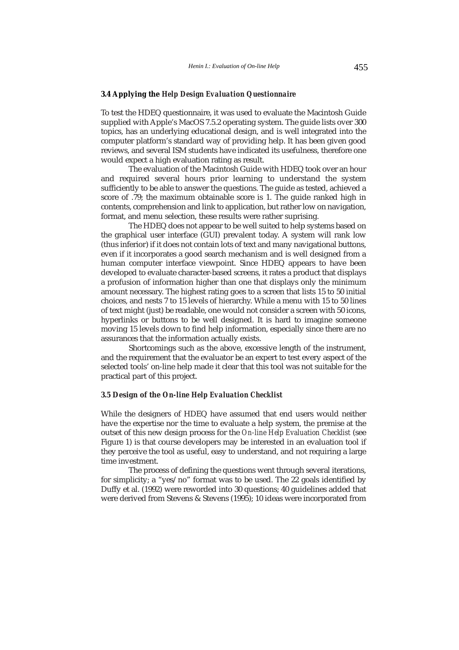#### **3.4 Applying the** *Help Design Evaluation Questionnaire*

To test the HDEQ questionnaire, it was used to evaluate the Macintosh Guide supplied with Apple's MacOS 7.5.2 operating system. The guide lists over 300 topics, has an underlying educational design, and is well integrated into the computer platform's standard way of providing help. It has been given good reviews, and several ISM students have indicated its usefulness, therefore one would expect a high evaluation rating as result.

The evaluation of the Macintosh Guide with HDEQ took over an hour and required several hours prior learning to understand the system sufficiently to be able to answer the questions. The guide as tested, achieved a score of .79; the maximum obtainable score is 1. The guide ranked high in contents, comprehension and link to application, but rather low on navigation, format, and menu selection, these results were rather suprising.

The HDEQ does not appear to be well suited to help systems based on the graphical user interface (GUI) prevalent today. A system will rank low (thus inferior) if it does not contain lots of text and many navigational buttons, even if it incorporates a good search mechanism and is well designed from a human computer interface viewpoint. Since HDEQ appears to have been developed to evaluate character-based screens, it rates a product that displays a profusion of information higher than one that displays only the minimum amount necessary. The highest rating goes to a screen that lists 15 to 50 initial choices, and nests 7 to 15 levels of hierarchy. While a menu with 15 to 50 lines of text might (just) be readable, one would not consider a screen with 50 icons, hyperlinks or buttons to be well designed. It is hard to imagine someone moving 15 levels down to find help information, especially since there are no assurances that the information actually exists.

Shortcomings such as the above, excessive length of the instrument, and the requirement that the evaluator be an expert to test every aspect of the selected tools' on-line help made it clear that this tool was not suitable for the practical part of this project.

# **3.5 Design of the** *On-line Help Evaluation Checklist*

While the designers of HDEQ have assumed that end users would neither have the expertise nor the time to evaluate a help system, the premise at the outset of this new design process for the *On-line Help Evaluation Checklist* (see Figure 1) is that course developers may be interested in an evaluation tool if they perceive the tool as useful, easy to understand, and not requiring a large time investment.

The process of defining the questions went through several iterations, for simplicity; a "yes/no" format was to be used. The 22 goals identified by Duffy et al. (1992) were reworded into 30 questions; 40 guidelines added that were derived from Stevens & Stevens (1995); 10 ideas were incorporated from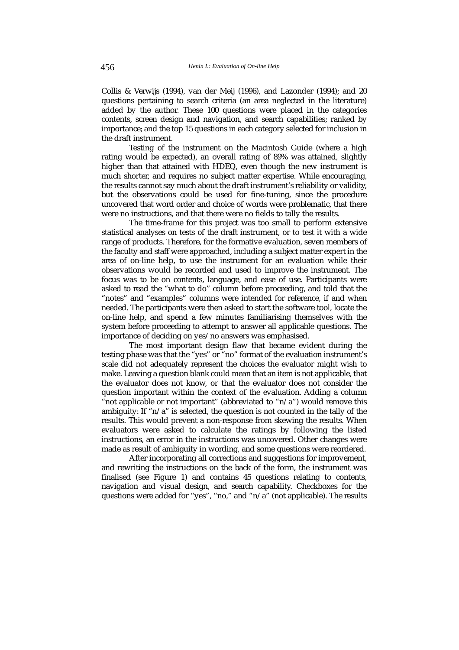Collis & Verwijs (1994), van der Meij (1996), and Lazonder (1994); and 20 questions pertaining to search criteria (an area neglected in the literature) added by the author. These 100 questions were placed in the categories contents, screen design and navigation, and search capabilities; ranked by importance; and the top 15 questions in each category selected for inclusion in the draft instrument.

Testing of the instrument on the Macintosh Guide (where a high rating would be expected), an overall rating of 89% was attained, slightly higher than that attained with HDEQ, even though the new instrument is much shorter, and requires no subject matter expertise. While encouraging, the results cannot say much about the draft instrument's reliability or validity, but the observations could be used for fine-tuning, since the procedure uncovered that word order and choice of words were problematic, that there were no instructions, and that there were no fields to tally the results.

The time-frame for this project was too small to perform extensive statistical analyses on tests of the draft instrument, or to test it with a wide range of products. Therefore, for the formative evaluation, seven members of the faculty and staff were approached, including a subject matter expert in the area of on-line help, to use the instrument for an evaluation while their observations would be recorded and used to improve the instrument. The focus was to be on contents, language, and ease of use. Participants were asked to read the "what to do" column before proceeding, and told that the "notes" and "examples" columns were intended for reference, if and when needed. The participants were then asked to start the software tool, locate the on-line help, and spend a few minutes familiarising themselves with the system before proceeding to attempt to answer all applicable questions. The importance of deciding on yes/no answers was emphasised.

The most important design flaw that became evident during the testing phase was that the "yes" or "no" format of the evaluation instrument's scale did not adequately represent the choices the evaluator might wish to make. Leaving a question blank could mean that an item is not applicable, that the evaluator does not know, or that the evaluator does not consider the question important within the context of the evaluation. Adding a column "not applicable or not important" (abbreviated to " $n/a$ ") would remove this ambiguity: If " $n/a$ " is selected, the question is not counted in the tally of the results. This would prevent a non-response from skewing the results. When evaluators were asked to calculate the ratings by following the listed instructions, an error in the instructions was uncovered. Other changes were made as result of ambiguity in wording, and some questions were reordered.

After incorporating all corrections and suggestions for improvement, and rewriting the instructions on the back of the form, the instrument was finalised (see Figure 1) and contains 45 questions relating to contents, navigation and visual design, and search capability. Checkboxes for the questions were added for "yes", "no," and "n/a" (not applicable). The results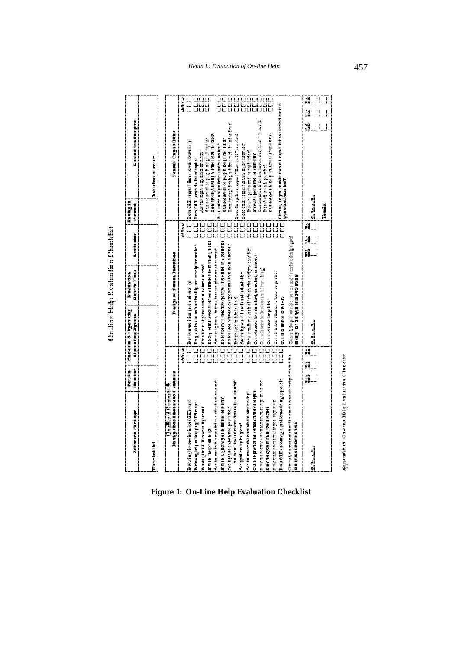| Soft are the dage                                                                                 | <b>Newla</b><br><b>Control</b> |                                                       | Platform & Operating<br><b>Opening System</b>   | Date The<br><b>E-Mating</b>                                     | <b>E</b> valuator | <b>A</b><br>Parties<br>$P$ around | <b>Enlace Purpose</b>                                                                                             |                |
|---------------------------------------------------------------------------------------------------|--------------------------------|-------------------------------------------------------|-------------------------------------------------|-----------------------------------------------------------------|-------------------|-----------------------------------|-------------------------------------------------------------------------------------------------------------------|----------------|
| <b>Wire lish like</b>                                                                             |                                |                                                       |                                                 |                                                                 |                   |                                   | <b>Districtions of Revers</b> .                                                                                   |                |
| <b>Ha viga tinnal Access to C ontents</b><br>Quality of Contents &                                |                                |                                                       |                                                 | Design of Serven Interface                                      |                   |                                   | Search Capabilities                                                                                               |                |
|                                                                                                   |                                |                                                       |                                                 |                                                                 |                   |                                   |                                                                                                                   |                |
| Bshringheor life leip (OLE) euge                                                                  |                                | $\overline{\overline{\overline{L}}}$<br><b>MD:seo</b> | <b>Best Reliae Direct State of the</b>          |                                                                 |                   | $\overline{a}$<br>مه کلا ۱۹۵۴     | $2 \cos \frac{\pi}{2}$ sin pport lines. I Note $\sin \frac{\pi}{2}$                                               | <b>MB</b> san  |
| B closing lelp or shopping OIE every                                                              |                                |                                                       |                                                 | Do an play and to hardfootlify not me wity decountre?           |                   |                                   | $\Gamma$ $\Gamma$ $\Gamma$ $\sim$ $\sim$ $\alpha$ $\pi$ $\beta$ $\sim$ $\alpha$ $\gamma$ $\gamma$ $\sim$ $\alpha$ | u uuu<br>U uuu |
| Bidigth OLE noyo light out                                                                        |                                | $\overline{\overline{\overline{L}}}$                  |                                                 | Does the Invigation Millow Boarline Millow Access               |                   |                                   | Arthetophesology Index by the Est                                                                                 |                |
| <b>Bitter</b> "Nelp" on let pe                                                                    |                                |                                                       |                                                 | Do segreth incress to ob loo get like ent tho milh ghi toobs    |                   |                                   | Sydemix Minettian in All or Distance                                                                              |                |
| Are the collective presented in a structured mainer is                                            |                                | $\overline{\mathsf{u}}$                               |                                                 | Are invitational bettood in same phot on all strends            |                   |                                   | Does typing/cikeling a ktk i iene the topic?                                                                      |                |
| <b>Do the in a booking of the fill those of the important</b>                                     |                                |                                                       |                                                 | Do bittors of existine spots for ethel line collectify:         |                   |                                   | <b>STOR SCIENTISTS ASSESSED</b><br>B LE INCE II LIPINDETIC LORGI POT REC.                                         |                |
| Are fighted choonfor processed?                                                                   |                                |                                                       |                                                 | Do losso i bribas ciculiye ommu lock fieli furtions             |                   | <u>unnnr</u>                      | Doestyplingeling a kter level the lides terms                                                                     |                |
| Are there the sudeh bonton only on request?                                                       |                                | 그니<br>그니                                              | <b>BREE ROOM IN DOWN</b>                        |                                                                 |                   |                                   | Does the sport maniport "Hom do E" " seurches                                                                     |                |
| Are good examples given?                                                                          |                                |                                                       | Are methology (if need) and esthad the ?        |                                                                 |                   |                                   | Does OUES at pport senseling by beyrond?                                                                          |                |
| Art the concept of the property state of                                                          |                                |                                                       |                                                 | <b>B fire smallest change in the matter cost hyperess likes</b> |                   |                                   | Benel pellor med on tople these                                                                                   |                |
| Chrone profite the demonstrated concept?                                                          |                                |                                                       |                                                 | Curvil dows be mill intered or lested, or moved?                |                   |                                   | <b>Bankling mediately</b>                                                                                         |                |
| Does the so firm the out its cut is supplied.                                                     |                                |                                                       | <b>C' Ι ΔΙ ΦΟΕΣ ΣΕ ΤΑ ΦΑΙ ΔΙ ΔΙ ΔΙ ΔΙ ΣΕ ΤΑ</b> |                                                                 |                   |                                   | Clique Strain Diffrom Deproduc ("Diff" + 101")<br><b>B</b> (or in the series possible?                            |                |
| <b>Does the special manufacturers</b>                                                             |                                |                                                       | <b>CLEAR ASSERVED</b>                           |                                                                 |                   |                                   | Curoman bip milaning ("moin")?                                                                                    |                |
| Does OCH provinsing my med.                                                                       |                                | $\overline{\overline{\overline{L}}}$                  | Curvill in burn thou on a topic be printed?     |                                                                 |                   |                                   | Octall do you consider search capabilitiess it leters to this                                                     |                |
| Does OIH etrollingen problement it guppa etc.                                                     |                                |                                                       | <b>CLEEDIMM DESPECT</b>                         |                                                                 |                   |                                   | <b>VE ot Softmare too!?</b>                                                                                       |                |
| Ouerall do you coastitute the coatents suitbe tenthy detailed tor<br>this type of softmare too i? |                                |                                                       | <b>ERGENCION CONTROLLED</b>                     | DOWNLOWED THE BUSINESS LOOK OF THE REAL                         |                   |                                   |                                                                                                                   |                |
| <b>Subsetted</b>                                                                                  | ₹                              | å<br>Ä                                                | <b>Subset BS</b>                                |                                                                 | খ্<br>1           | <b>Suborals:</b><br>빙             | á                                                                                                                 | 빙              |
|                                                                                                   |                                |                                                       |                                                 |                                                                 |                   | <b>Totals:</b>                    |                                                                                                                   |                |
| Appe m/sr G. On-line Help Evaluation Checklist                                                    |                                |                                                       |                                                 |                                                                 |                   |                                   |                                                                                                                   |                |

**Figure 1: On-Line Help Evaluation Checklist**

@@@@@@@@@@@@@@@@@@@@@@@@@@@@@@@@@@@@@@@@@@@@@@@@@@@@@@he?@@@@@@@@@@@@@@@@@@@@@@@@@@@@@@@@@@@@@@@@@@@@@@@@@@@@@@@@@@@@@@@@@@@@@@@@@@@@@@@@@@@@@@@@@@@@@@@@@@@@@@@@@@@@@@@@@@@@@@@@@@@@@@@@@@@@@@@@@@@@@@@@@@@@@@@@@@@@@@@@@@@@@@@@@@@@@@@@@@@@@@@@@@@@@@@@@@@@@@@@@@@@@@@@@@@@@@@@@@@@@@@@@@@@@@@@@@@@@@@@@@@@@@@@@@@@@@@@@@@@@@@@@@@@@@? @? ?@ ?@he?@ @? @? @? @? ?@ ?@he?@ @? @? @?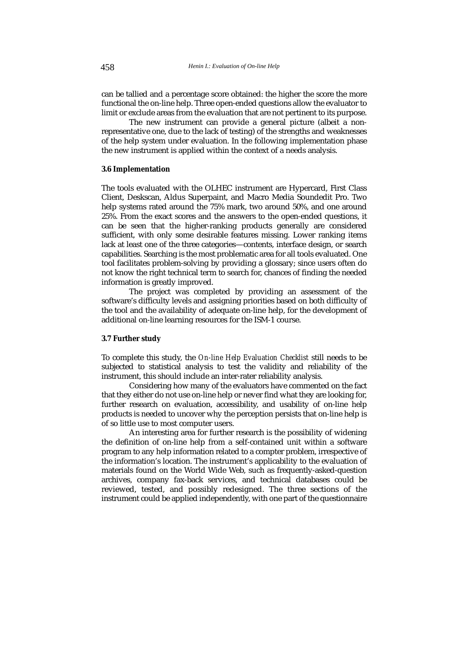can be tallied and a percentage score obtained: the higher the score the more functional the on-line help. Three open-ended questions allow the evaluator to limit or exclude areas from the evaluation that are not pertinent to its purpose.

The new instrument can provide a general picture (albeit a nonrepresentative one, due to the lack of testing) of the strengths and weaknesses of the help system under evaluation. In the following implementation phase the new instrument is applied within the context of a needs analysis.

### **3.6 Implementation**

The tools evaluated with the OLHEC instrument are Hypercard, First Class Client, Deskscan, Aldus Superpaint, and Macro Media Soundedit Pro. Two help systems rated around the 75% mark, two around 50%, and one around 25%. From the exact scores and the answers to the open-ended questions, it can be seen that the higher-ranking products generally are considered sufficient, with only some desirable features missing. Lower ranking items lack at least one of the three categories—contents, interface design, or search capabilities. Searching is the most problematic area for all tools evaluated. One tool facilitates problem-solving by providing a glossary; since users often do not know the right technical term to search for, chances of finding the needed information is greatly improved.

The project was completed by providing an assessment of the software's difficulty levels and assigning priorities based on both difficulty of the tool and the availability of adequate on-line help, for the development of additional on-line learning resources for the ISM-1 course.

#### **3.7 Further study**

To complete this study, the *On-line Help Evaluation Checklist* still needs to be subjected to statistical analysis to test the validity and reliability of the instrument, this should include an inter-rater reliability analysis.

Considering how many of the evaluators have commented on the fact that they either do not use on-line help or never find what they are looking for, further research on evaluation, accessibility, and usability of on-line help products is needed to uncover why the perception persists that on-line help is of so little use to most computer users.

An interesting area for further research is the possibility of widening the definition of on-line help from a self-contained unit within a software program to any help information related to a compter problem, irrespective of the information's location. The instrument's applicability to the evaluation of materials found on the World Wide Web, such as frequently-asked-question archives, company fax-back services, and technical databases could be reviewed, tested, and possibly redesigned. The three sections of the instrument could be applied independently, with one part of the questionnaire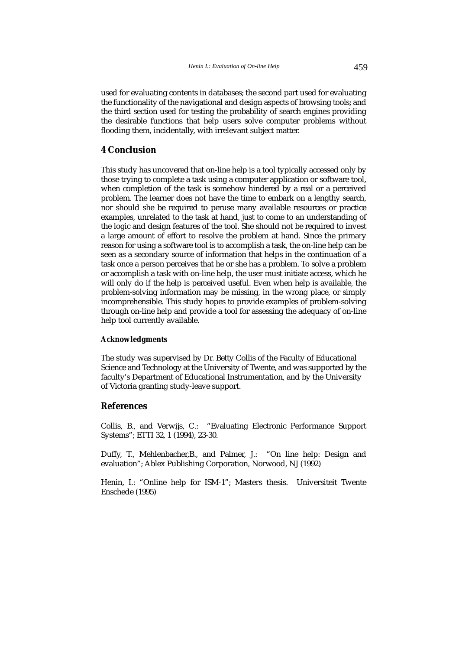used for evaluating contents in databases; the second part used for evaluating the functionality of the navigational and design aspects of browsing tools; and the third section used for testing the probability of search engines providing the desirable functions that help users solve computer problems without flooding them, incidentally, with irrelevant subject matter.

# **4 Conclusion**

This study has uncovered that on-line help is a tool typically accessed only by those trying to complete a task using a computer application or software tool, when completion of the task is somehow hindered by a real or a perceived problem. The learner does not have the time to embark on a lengthy search, nor should she be required to peruse many available resources or practice examples, unrelated to the task at hand, just to come to an understanding of the logic and design features of the tool. She should not be required to invest a large amount of effort to resolve the problem at hand. Since the primary reason for using a software tool is to accomplish a task, the on-line help can be seen as a secondary source of information that helps in the continuation of a task once a person perceives that he or she has a problem. To solve a problem or accomplish a task with on-line help, the user must initiate access, which he will only do if the help is perceived useful. Even when help is available, the problem-solving information may be missing, in the wrong place, or simply incomprehensible. This study hopes to provide examples of problem-solving through on-line help and provide a tool for assessing the adequacy of on-line help tool currently available.

#### **Acknowledgments**

The study was supervised by Dr. Betty Collis of the Faculty of Educational Science and Technology at the University of Twente, and was supported by the faculty's Department of Educational Instrumentation, and by the University of Victoria granting study-leave support.

### **References**

Collis, B., and Verwijs, C.: "Evaluating Electronic Performance Support Systems"; ETTI 32, 1 (1994), 23-30.

Duffy, T., Mehlenbacher,B., and Palmer, J.: "On line help: Design and evaluation"; Ablex Publishing Corporation, Norwood, NJ (1992)

Henin, I.: "Online help for ISM-1"; Masters thesis. Universiteit Twente Enschede (1995)